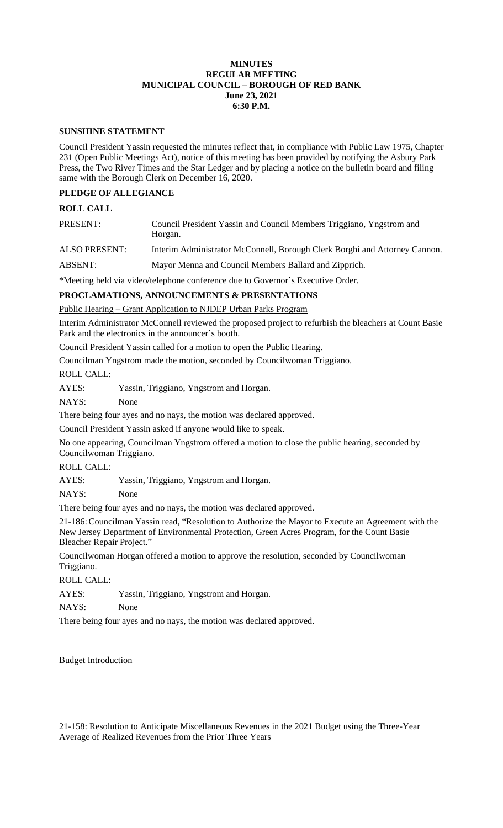## **MINUTES REGULAR MEETING MUNICIPAL COUNCIL – BOROUGH OF RED BANK June 23, 2021 6:30 P.M.**

#### **SUNSHINE STATEMENT**

Council President Yassin requested the minutes reflect that, in compliance with Public Law 1975, Chapter 231 (Open Public Meetings Act), notice of this meeting has been provided by notifying the Asbury Park Press, the Two River Times and the Star Ledger and by placing a notice on the bulletin board and filing same with the Borough Clerk on December 16, 2020.

# **PLEDGE OF ALLEGIANCE**

## **ROLL CALL**

| PRESENT:             | Council President Yassin and Council Members Triggiano, Yngstrom and<br>Horgan. |
|----------------------|---------------------------------------------------------------------------------|
| <b>ALSO PRESENT:</b> | Interim Administrator McConnell, Borough Clerk Borghi and Attorney Cannon.      |

ABSENT: Mayor Menna and Council Members Ballard and Zipprich.

\*Meeting held via video/telephone conference due to Governor's Executive Order.

#### **PROCLAMATIONS, ANNOUNCEMENTS & PRESENTATIONS**

Public Hearing – Grant Application to NJDEP Urban Parks Program

Interim Administrator McConnell reviewed the proposed project to refurbish the bleachers at Count Basie Park and the electronics in the announcer's booth.

Council President Yassin called for a motion to open the Public Hearing.

Councilman Yngstrom made the motion, seconded by Councilwoman Triggiano.

ROLL CALL:

| AYES: | Yassin, Triggiano, Yngstrom and Horgan. |  |  |
|-------|-----------------------------------------|--|--|
|-------|-----------------------------------------|--|--|

NAYS: None

There being four ayes and no nays, the motion was declared approved.

Council President Yassin asked if anyone would like to speak.

No one appearing, Councilman Yngstrom offered a motion to close the public hearing, seconded by Councilwoman Triggiano.

## ROLL CALL:

AYES: Yassin, Triggiano, Yngstrom and Horgan.

NAYS: None

There being four ayes and no nays, the motion was declared approved.

21-186:Councilman Yassin read, "Resolution to Authorize the Mayor to Execute an Agreement with the New Jersey Department of Environmental Protection, Green Acres Program, for the Count Basie Bleacher Repair Project."

Councilwoman Horgan offered a motion to approve the resolution, seconded by Councilwoman Triggiano.

ROLL CALL:

AYES: Yassin, Triggiano, Yngstrom and Horgan.

NAYS: None

There being four ayes and no nays, the motion was declared approved.

#### Budget Introduction

21-158: Resolution to Anticipate Miscellaneous Revenues in the 2021 Budget using the Three-Year Average of Realized Revenues from the Prior Three Years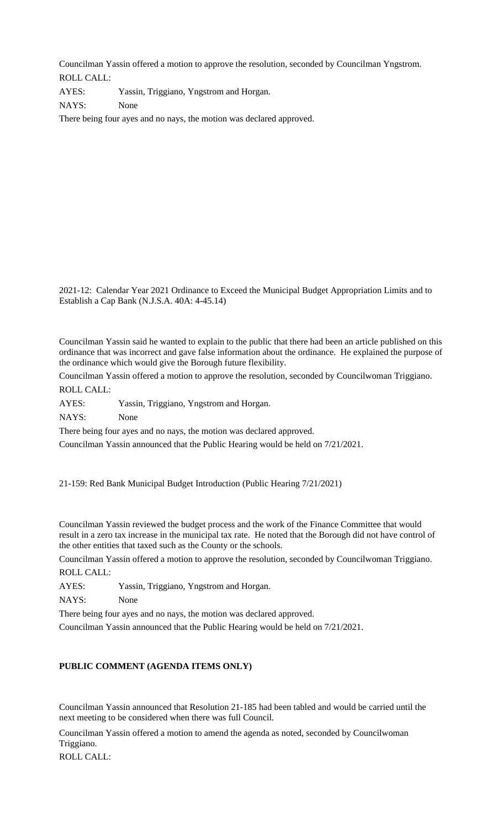Councilman Yassin offered a motion to approve the resolution, seconded by Councilman Yngstrom. ROLL CALL:

AYES: Yassin, Triggiano, Yngstrom and Horgan. NAYS: None There being four ayes and no nays, the motion was declared approved.

2021-12: Calendar Year 2021 Ordinance to Exceed the Municipal Budget Appropriation Limits and to Establish a Cap Bank (N.J.S.A. 40A: 4-45.14)

Councilman Yassin said he wanted to explain to the public that there had been an article published on this ordinance that was incorrect and gave false information about the ordinance. He explained the purpose of the ordinance which would give the Borough future flexibility.

Councilman Yassin offered a motion to approve the resolution, seconded by Councilwoman Triggiano.

ROLL CALL:

AYES: Yassin, Triggiano, Yngstrom and Horgan.

NAYS: None

There being four ayes and no nays, the motion was declared approved.

Councilman Yassin announced that the Public Hearing would be held on 7/21/2021.

21-159: Red Bank Municipal Budget Introduction (Public Hearing 7/21/2021)

Councilman Yassin reviewed the budget process and the work of the Finance Committee that would result in a zero tax increase in the municipal tax rate. He noted that the Borough did not have control of the other entities that taxed such as the County or the schools.

Councilman Yassin offered a motion to approve the resolution, seconded by Councilwoman Triggiano. ROLL CALL:

AYES: Yassin, Triggiano, Yngstrom and Horgan.

NAYS: None

There being four ayes and no nays, the motion was declared approved.

Councilman Yassin announced that the Public Hearing would be held on 7/21/2021.

## **PUBLIC COMMENT (AGENDA ITEMS ONLY)**

Councilman Yassin announced that Resolution 21-185 had been tabled and would be carried until the next meeting to be considered when there was full Council.

Councilman Yassin offered a motion to amend the agenda as noted, seconded by Councilwoman Triggiano.

ROLL CALL: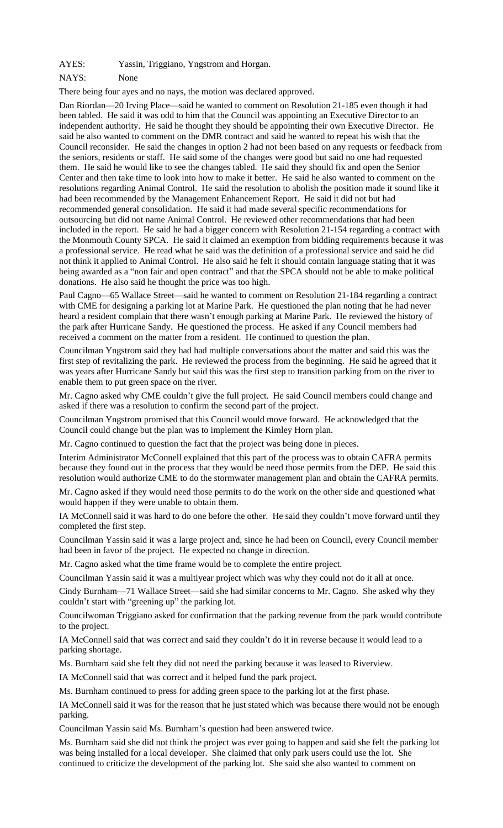AYES: Yassin, Triggiano, Yngstrom and Horgan.

#### NAYS: None

There being four ayes and no nays, the motion was declared approved.

Dan Riordan—20 Irving Place—said he wanted to comment on Resolution 21-185 even though it had been tabled. He said it was odd to him that the Council was appointing an Executive Director to an independent authority. He said he thought they should be appointing their own Executive Director. He said he also wanted to comment on the DMR contract and said he wanted to repeat his wish that the Council reconsider. He said the changes in option 2 had not been based on any requests or feedback from the seniors, residents or staff. He said some of the changes were good but said no one had requested them. He said he would like to see the changes tabled. He said they should fix and open the Senior Center and then take time to look into how to make it better. He said he also wanted to comment on the resolutions regarding Animal Control. He said the resolution to abolish the position made it sound like it had been recommended by the Management Enhancement Report. He said it did not but had recommended general consolidation. He said it had made several specific recommendations for outsourcing but did not name Animal Control. He reviewed other recommendations that had been included in the report. He said he had a bigger concern with Resolution 21-154 regarding a contract with the Monmouth County SPCA. He said it claimed an exemption from bidding requirements because it was a professional service. He read what he said was the definition of a professional service and said he did not think it applied to Animal Control. He also said he felt it should contain language stating that it was being awarded as a "non fair and open contract" and that the SPCA should not be able to make political donations. He also said he thought the price was too high.

Paul Cagno—65 Wallace Street—said he wanted to comment on Resolution 21-184 regarding a contract with CME for designing a parking lot at Marine Park. He questioned the plan noting that he had never heard a resident complain that there wasn't enough parking at Marine Park. He reviewed the history of the park after Hurricane Sandy. He questioned the process. He asked if any Council members had received a comment on the matter from a resident. He continued to question the plan.

Councilman Yngstrom said they had had multiple conversations about the matter and said this was the first step of revitalizing the park. He reviewed the process from the beginning. He said he agreed that it was years after Hurricane Sandy but said this was the first step to transition parking from on the river to enable them to put green space on the river.

Mr. Cagno asked why CME couldn't give the full project. He said Council members could change and asked if there was a resolution to confirm the second part of the project.

Councilman Yngstrom promised that this Council would move forward. He acknowledged that the Council could change but the plan was to implement the Kimley Horn plan.

Mr. Cagno continued to question the fact that the project was being done in pieces.

Interim Administrator McConnell explained that this part of the process was to obtain CAFRA permits because they found out in the process that they would be need those permits from the DEP. He said this resolution would authorize CME to do the stormwater management plan and obtain the CAFRA permits.

Mr. Cagno asked if they would need those permits to do the work on the other side and questioned what would happen if they were unable to obtain them.

IA McConnell said it was hard to do one before the other. He said they couldn't move forward until they completed the first step.

Councilman Yassin said it was a large project and, since he had been on Council, every Council member had been in favor of the project. He expected no change in direction.

Mr. Cagno asked what the time frame would be to complete the entire project.

Councilman Yassin said it was a multiyear project which was why they could not do it all at once.

Cindy Burnham—71 Wallace Street—said she had similar concerns to Mr. Cagno. She asked why they couldn't start with "greening up" the parking lot.

Councilwoman Triggiano asked for confirmation that the parking revenue from the park would contribute to the project.

IA McConnell said that was correct and said they couldn't do it in reverse because it would lead to a parking shortage.

Ms. Burnham said she felt they did not need the parking because it was leased to Riverview.

IA McConnell said that was correct and it helped fund the park project.

Ms. Burnham continued to press for adding green space to the parking lot at the first phase.

IA McConnell said it was for the reason that he just stated which was because there would not be enough parking.

Councilman Yassin said Ms. Burnham's question had been answered twice.

Ms. Burnham said she did not think the project was ever going to happen and said she felt the parking lot was being installed for a local developer. She claimed that only park users could use the lot. She continued to criticize the development of the parking lot. She said she also wanted to comment on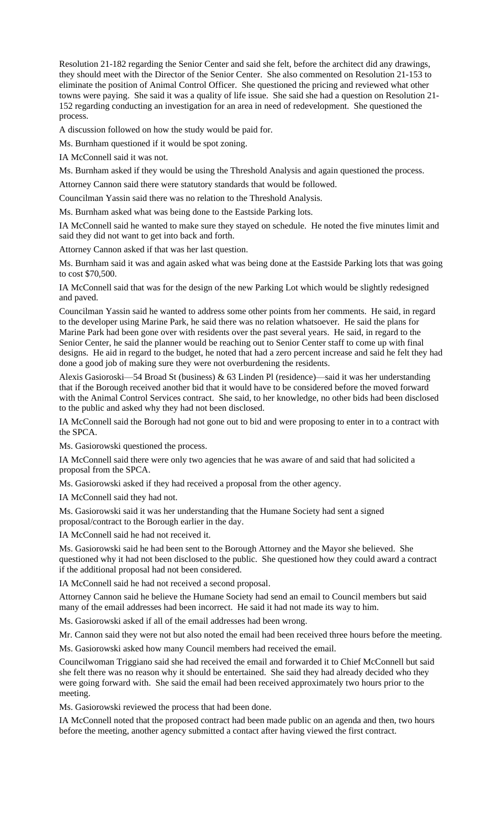Resolution 21-182 regarding the Senior Center and said she felt, before the architect did any drawings, they should meet with the Director of the Senior Center. She also commented on Resolution 21-153 to eliminate the position of Animal Control Officer. She questioned the pricing and reviewed what other towns were paying. She said it was a quality of life issue. She said she had a question on Resolution 21- 152 regarding conducting an investigation for an area in need of redevelopment. She questioned the process.

A discussion followed on how the study would be paid for.

Ms. Burnham questioned if it would be spot zoning.

IA McConnell said it was not.

Ms. Burnham asked if they would be using the Threshold Analysis and again questioned the process.

Attorney Cannon said there were statutory standards that would be followed.

Councilman Yassin said there was no relation to the Threshold Analysis.

Ms. Burnham asked what was being done to the Eastside Parking lots.

IA McConnell said he wanted to make sure they stayed on schedule. He noted the five minutes limit and said they did not want to get into back and forth.

Attorney Cannon asked if that was her last question.

Ms. Burnham said it was and again asked what was being done at the Eastside Parking lots that was going to cost \$70,500.

IA McConnell said that was for the design of the new Parking Lot which would be slightly redesigned and paved.

Councilman Yassin said he wanted to address some other points from her comments. He said, in regard to the developer using Marine Park, he said there was no relation whatsoever. He said the plans for Marine Park had been gone over with residents over the past several years. He said, in regard to the Senior Center, he said the planner would be reaching out to Senior Center staff to come up with final designs. He aid in regard to the budget, he noted that had a zero percent increase and said he felt they had done a good job of making sure they were not overburdening the residents.

Alexis Gasioroski—54 Broad St (business) & 63 Linden Pl (residence)—said it was her understanding that if the Borough received another bid that it would have to be considered before the moved forward with the Animal Control Services contract. She said, to her knowledge, no other bids had been disclosed to the public and asked why they had not been disclosed.

IA McConnell said the Borough had not gone out to bid and were proposing to enter in to a contract with the SPCA.

Ms. Gasiorowski questioned the process.

IA McConnell said there were only two agencies that he was aware of and said that had solicited a proposal from the SPCA.

Ms. Gasiorowski asked if they had received a proposal from the other agency.

IA McConnell said they had not.

Ms. Gasiorowski said it was her understanding that the Humane Society had sent a signed proposal/contract to the Borough earlier in the day.

IA McConnell said he had not received it.

Ms. Gasiorowski said he had been sent to the Borough Attorney and the Mayor she believed. She questioned why it had not been disclosed to the public. She questioned how they could award a contract if the additional proposal had not been considered.

IA McConnell said he had not received a second proposal.

Attorney Cannon said he believe the Humane Society had send an email to Council members but said many of the email addresses had been incorrect. He said it had not made its way to him.

Ms. Gasiorowski asked if all of the email addresses had been wrong.

Mr. Cannon said they were not but also noted the email had been received three hours before the meeting.

Ms. Gasiorowski asked how many Council members had received the email.

Councilwoman Triggiano said she had received the email and forwarded it to Chief McConnell but said she felt there was no reason why it should be entertained. She said they had already decided who they were going forward with. She said the email had been received approximately two hours prior to the meeting.

Ms. Gasiorowski reviewed the process that had been done.

IA McConnell noted that the proposed contract had been made public on an agenda and then, two hours before the meeting, another agency submitted a contact after having viewed the first contract.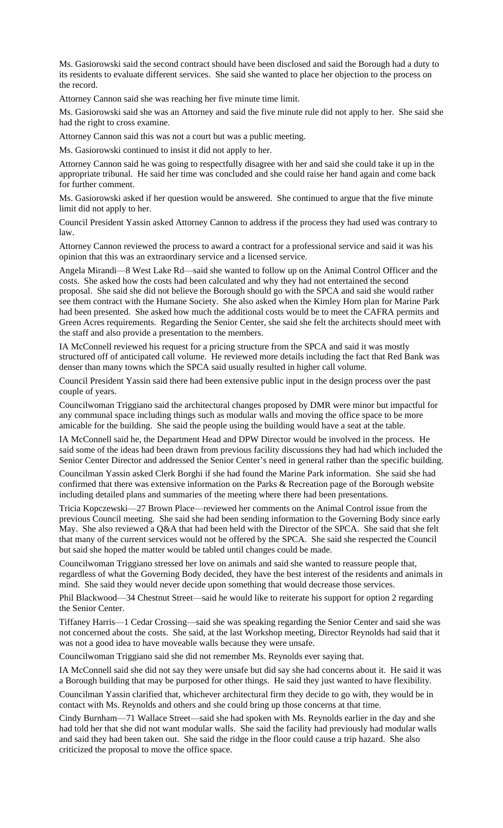Ms. Gasiorowski said the second contract should have been disclosed and said the Borough had a duty to its residents to evaluate different services. She said she wanted to place her objection to the process on the record.

Attorney Cannon said she was reaching her five minute time limit.

Ms. Gasiorowski said she was an Attorney and said the five minute rule did not apply to her. She said she had the right to cross examine.

Attorney Cannon said this was not a court but was a public meeting.

Ms. Gasiorowski continued to insist it did not apply to her.

Attorney Cannon said he was going to respectfully disagree with her and said she could take it up in the appropriate tribunal. He said her time was concluded and she could raise her hand again and come back for further comment.

Ms. Gasiorowski asked if her question would be answered. She continued to argue that the five minute limit did not apply to her.

Council President Yassin asked Attorney Cannon to address if the process they had used was contrary to law.

Attorney Cannon reviewed the process to award a contract for a professional service and said it was his opinion that this was an extraordinary service and a licensed service.

Angela Mirandi—8 West Lake Rd—said she wanted to follow up on the Animal Control Officer and the costs. She asked how the costs had been calculated and why they had not entertained the second proposal. She said she did not believe the Borough should go with the SPCA and said she would rather see them contract with the Humane Society. She also asked when the Kimley Horn plan for Marine Park had been presented. She asked how much the additional costs would be to meet the CAFRA permits and Green Acres requirements. Regarding the Senior Center, she said she felt the architects should meet with the staff and also provide a presentation to the members.

IA McConnell reviewed his request for a pricing structure from the SPCA and said it was mostly structured off of anticipated call volume. He reviewed more details including the fact that Red Bank was denser than many towns which the SPCA said usually resulted in higher call volume.

Council President Yassin said there had been extensive public input in the design process over the past couple of years.

Councilwoman Triggiano said the architectural changes proposed by DMR were minor but impactful for any communal space including things such as modular walls and moving the office space to be more amicable for the building. She said the people using the building would have a seat at the table.

IA McConnell said he, the Department Head and DPW Director would be involved in the process. He said some of the ideas had been drawn from previous facility discussions they had had which included the Senior Center Director and addressed the Senior Center's need in general rather than the specific building.

Councilman Yassin asked Clerk Borghi if she had found the Marine Park information. She said she had confirmed that there was extensive information on the Parks & Recreation page of the Borough website including detailed plans and summaries of the meeting where there had been presentations.

Tricia Kopczewski—27 Brown Place—reviewed her comments on the Animal Control issue from the previous Council meeting. She said she had been sending information to the Governing Body since early May. She also reviewed a Q&A that had been held with the Director of the SPCA. She said that she felt that many of the current services would not be offered by the SPCA. She said she respected the Council but said she hoped the matter would be tabled until changes could be made.

Councilwoman Triggiano stressed her love on animals and said she wanted to reassure people that, regardless of what the Governing Body decided, they have the best interest of the residents and animals in mind. She said they would never decide upon something that would decrease those services.

Phil Blackwood—34 Chestnut Street—said he would like to reiterate his support for option 2 regarding the Senior Center.

Tiffaney Harris—1 Cedar Crossing—said she was speaking regarding the Senior Center and said she was not concerned about the costs. She said, at the last Workshop meeting, Director Reynolds had said that it was not a good idea to have moveable walls because they were unsafe.

Councilwoman Triggiano said she did not remember Ms. Reynolds ever saying that.

IA McConnell said she did not say they were unsafe but did say she had concerns about it. He said it was a Borough building that may be purposed for other things. He said they just wanted to have flexibility.

Councilman Yassin clarified that, whichever architectural firm they decide to go with, they would be in contact with Ms. Reynolds and others and she could bring up those concerns at that time.

Cindy Burnham—71 Wallace Street—said she had spoken with Ms. Reynolds earlier in the day and she had told her that she did not want modular walls. She said the facility had previously had modular walls and said they had been taken out. She said the ridge in the floor could cause a trip hazard. She also criticized the proposal to move the office space.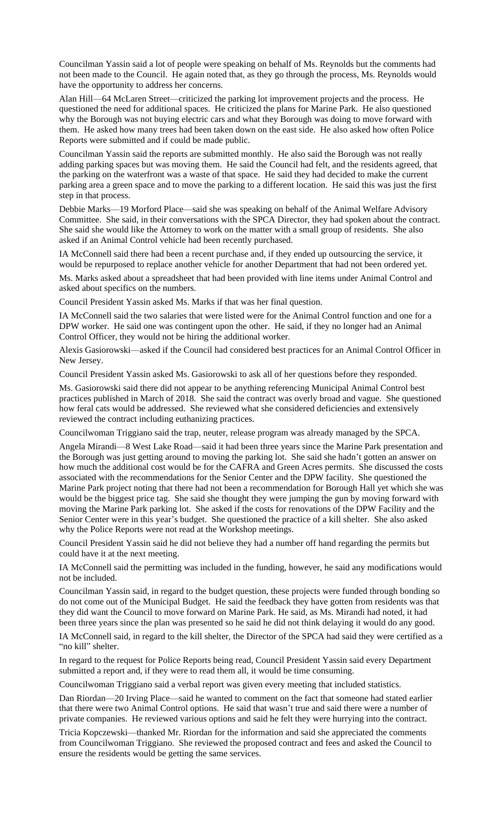Councilman Yassin said a lot of people were speaking on behalf of Ms. Reynolds but the comments had not been made to the Council. He again noted that, as they go through the process, Ms. Reynolds would have the opportunity to address her concerns.

Alan Hill—64 McLaren Street—criticized the parking lot improvement projects and the process. He questioned the need for additional spaces. He criticized the plans for Marine Park. He also questioned why the Borough was not buying electric cars and what they Borough was doing to move forward with them. He asked how many trees had been taken down on the east side. He also asked how often Police Reports were submitted and if could be made public.

Councilman Yassin said the reports are submitted monthly. He also said the Borough was not really adding parking spaces but was moving them. He said the Council had felt, and the residents agreed, that the parking on the waterfront was a waste of that space. He said they had decided to make the current parking area a green space and to move the parking to a different location. He said this was just the first step in that process.

Debbie Marks—19 Morford Place—said she was speaking on behalf of the Animal Welfare Advisory Committee. She said, in their conversations with the SPCA Director, they had spoken about the contract. She said she would like the Attorney to work on the matter with a small group of residents. She also asked if an Animal Control vehicle had been recently purchased.

IA McConnell said there had been a recent purchase and, if they ended up outsourcing the service, it would be repurposed to replace another vehicle for another Department that had not been ordered yet.

Ms. Marks asked about a spreadsheet that had been provided with line items under Animal Control and asked about specifics on the numbers.

Council President Yassin asked Ms. Marks if that was her final question.

IA McConnell said the two salaries that were listed were for the Animal Control function and one for a DPW worker. He said one was contingent upon the other. He said, if they no longer had an Animal Control Officer, they would not be hiring the additional worker.

Alexis Gasiorowski—asked if the Council had considered best practices for an Animal Control Officer in New Jersey.

Council President Yassin asked Ms. Gasiorowski to ask all of her questions before they responded.

Ms. Gasiorowski said there did not appear to be anything referencing Municipal Animal Control best practices published in March of 2018. She said the contract was overly broad and vague. She questioned how feral cats would be addressed. She reviewed what she considered deficiencies and extensively reviewed the contract including euthanizing practices.

Councilwoman Triggiano said the trap, neuter, release program was already managed by the SPCA.

Angela Mirandi—8 West Lake Road—said it had been three years since the Marine Park presentation and the Borough was just getting around to moving the parking lot. She said she hadn't gotten an answer on how much the additional cost would be for the CAFRA and Green Acres permits. She discussed the costs associated with the recommendations for the Senior Center and the DPW facility. She questioned the Marine Park project noting that there had not been a recommendation for Borough Hall yet which she was would be the biggest price tag. She said she thought they were jumping the gun by moving forward with moving the Marine Park parking lot. She asked if the costs for renovations of the DPW Facility and the Senior Center were in this year's budget. She questioned the practice of a kill shelter. She also asked why the Police Reports were not read at the Workshop meetings.

Council President Yassin said he did not believe they had a number off hand regarding the permits but could have it at the next meeting.

IA McConnell said the permitting was included in the funding, however, he said any modifications would not be included.

Councilman Yassin said, in regard to the budget question, these projects were funded through bonding so do not come out of the Municipal Budget. He said the feedback they have gotten from residents was that they did want the Council to move forward on Marine Park. He said, as Ms. Mirandi had noted, it had been three years since the plan was presented so he said he did not think delaying it would do any good.

IA McConnell said, in regard to the kill shelter, the Director of the SPCA had said they were certified as a "no kill" shelter.

In regard to the request for Police Reports being read, Council President Yassin said every Department submitted a report and, if they were to read them all, it would be time consuming.

Councilwoman Triggiano said a verbal report was given every meeting that included statistics.

Dan Riordan—20 Irving Place—said he wanted to comment on the fact that someone had stated earlier that there were two Animal Control options. He said that wasn't true and said there were a number of private companies. He reviewed various options and said he felt they were hurrying into the contract.

Tricia Kopczewski—thanked Mr. Riordan for the information and said she appreciated the comments from Councilwoman Triggiano. She reviewed the proposed contract and fees and asked the Council to ensure the residents would be getting the same services.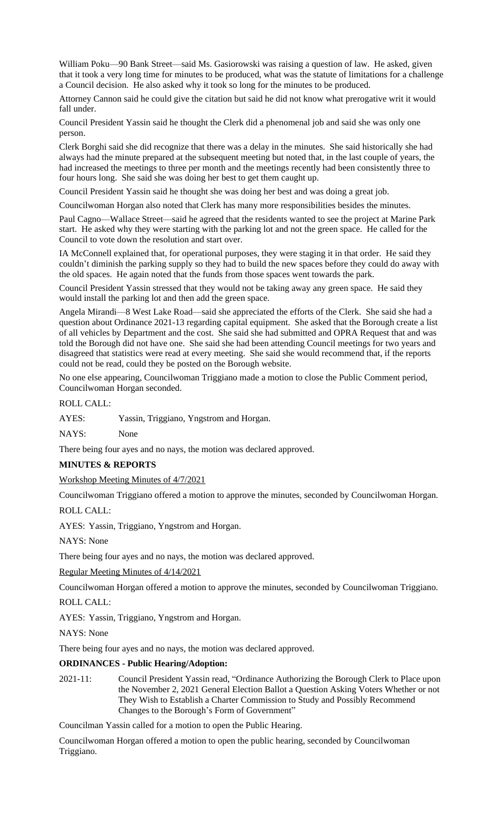William Poku—90 Bank Street—said Ms. Gasiorowski was raising a question of law. He asked, given that it took a very long time for minutes to be produced, what was the statute of limitations for a challenge a Council decision. He also asked why it took so long for the minutes to be produced.

Attorney Cannon said he could give the citation but said he did not know what prerogative writ it would fall under.

Council President Yassin said he thought the Clerk did a phenomenal job and said she was only one person.

Clerk Borghi said she did recognize that there was a delay in the minutes. She said historically she had always had the minute prepared at the subsequent meeting but noted that, in the last couple of years, the had increased the meetings to three per month and the meetings recently had been consistently three to four hours long. She said she was doing her best to get them caught up.

Council President Yassin said he thought she was doing her best and was doing a great job.

Councilwoman Horgan also noted that Clerk has many more responsibilities besides the minutes.

Paul Cagno—Wallace Street—said he agreed that the residents wanted to see the project at Marine Park start. He asked why they were starting with the parking lot and not the green space. He called for the Council to vote down the resolution and start over.

IA McConnell explained that, for operational purposes, they were staging it in that order. He said they couldn't diminish the parking supply so they had to build the new spaces before they could do away with the old spaces. He again noted that the funds from those spaces went towards the park.

Council President Yassin stressed that they would not be taking away any green space. He said they would install the parking lot and then add the green space.

Angela Mirandi—8 West Lake Road—said she appreciated the efforts of the Clerk. She said she had a question about Ordinance 2021-13 regarding capital equipment. She asked that the Borough create a list of all vehicles by Department and the cost. She said she had submitted and OPRA Request that and was told the Borough did not have one. She said she had been attending Council meetings for two years and disagreed that statistics were read at every meeting. She said she would recommend that, if the reports could not be read, could they be posted on the Borough website.

No one else appearing, Councilwoman Triggiano made a motion to close the Public Comment period, Councilwoman Horgan seconded.

ROLL CALL:

AYES: Yassin, Triggiano, Yngstrom and Horgan.

NAYS: None

There being four ayes and no nays, the motion was declared approved.

## **MINUTES & REPORTS**

## Workshop Meeting Minutes of 4/7/2021

Councilwoman Triggiano offered a motion to approve the minutes, seconded by Councilwoman Horgan.

ROLL CALL:

AYES: Yassin, Triggiano, Yngstrom and Horgan.

NAYS: None

There being four ayes and no nays, the motion was declared approved.

Regular Meeting Minutes of 4/14/2021

Councilwoman Horgan offered a motion to approve the minutes, seconded by Councilwoman Triggiano.

ROLL CALL:

AYES: Yassin, Triggiano, Yngstrom and Horgan.

NAYS: None

There being four ayes and no nays, the motion was declared approved.

#### **ORDINANCES - Public Hearing/Adoption:**

2021-11: Council President Yassin read, "Ordinance Authorizing the Borough Clerk to Place upon the November 2, 2021 General Election Ballot a Question Asking Voters Whether or not They Wish to Establish a Charter Commission to Study and Possibly Recommend Changes to the Borough's Form of Government"

Councilman Yassin called for a motion to open the Public Hearing.

Councilwoman Horgan offered a motion to open the public hearing, seconded by Councilwoman Triggiano.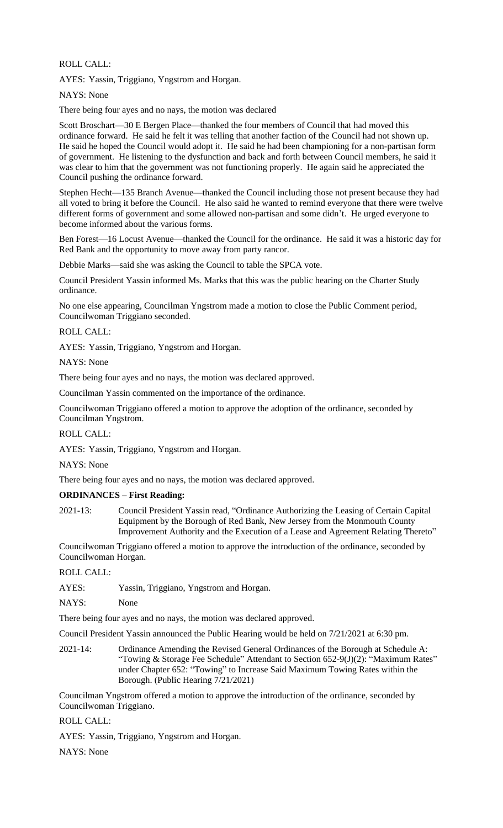ROLL CALL:

AYES: Yassin, Triggiano, Yngstrom and Horgan.

NAYS: None

There being four ayes and no nays, the motion was declared

Scott Broschart—30 E Bergen Place—thanked the four members of Council that had moved this ordinance forward. He said he felt it was telling that another faction of the Council had not shown up. He said he hoped the Council would adopt it. He said he had been championing for a non-partisan form of government. He listening to the dysfunction and back and forth between Council members, he said it was clear to him that the government was not functioning properly. He again said he appreciated the Council pushing the ordinance forward.

Stephen Hecht—135 Branch Avenue—thanked the Council including those not present because they had all voted to bring it before the Council. He also said he wanted to remind everyone that there were twelve different forms of government and some allowed non-partisan and some didn't. He urged everyone to become informed about the various forms.

Ben Forest—16 Locust Avenue—thanked the Council for the ordinance. He said it was a historic day for Red Bank and the opportunity to move away from party rancor.

Debbie Marks—said she was asking the Council to table the SPCA vote.

Council President Yassin informed Ms. Marks that this was the public hearing on the Charter Study ordinance.

No one else appearing, Councilman Yngstrom made a motion to close the Public Comment period, Councilwoman Triggiano seconded.

#### ROLL CALL:

AYES: Yassin, Triggiano, Yngstrom and Horgan.

NAYS: None

There being four ayes and no nays, the motion was declared approved.

Councilman Yassin commented on the importance of the ordinance.

Councilwoman Triggiano offered a motion to approve the adoption of the ordinance, seconded by Councilman Yngstrom.

ROLL CALL:

AYES: Yassin, Triggiano, Yngstrom and Horgan.

NAYS: None

There being four ayes and no nays, the motion was declared approved.

## **ORDINANCES – First Reading:**

2021-13: Council President Yassin read, "Ordinance Authorizing the Leasing of Certain Capital Equipment by the Borough of Red Bank, New Jersey from the Monmouth County Improvement Authority and the Execution of a Lease and Agreement Relating Thereto"

Councilwoman Triggiano offered a motion to approve the introduction of the ordinance, seconded by Councilwoman Horgan.

ROLL CALL:

AYES: Yassin, Triggiano, Yngstrom and Horgan.

NAYS: None

There being four ayes and no nays, the motion was declared approved.

Council President Yassin announced the Public Hearing would be held on 7/21/2021 at 6:30 pm.

2021-14: Ordinance Amending the Revised General Ordinances of the Borough at Schedule A: "Towing & Storage Fee Schedule" Attendant to Section 652-9(J)(2): "Maximum Rates" under Chapter 652: "Towing" to Increase Said Maximum Towing Rates within the Borough. (Public Hearing 7/21/2021)

Councilman Yngstrom offered a motion to approve the introduction of the ordinance, seconded by Councilwoman Triggiano.

ROLL CALL:

AYES: Yassin, Triggiano, Yngstrom and Horgan.

NAYS: None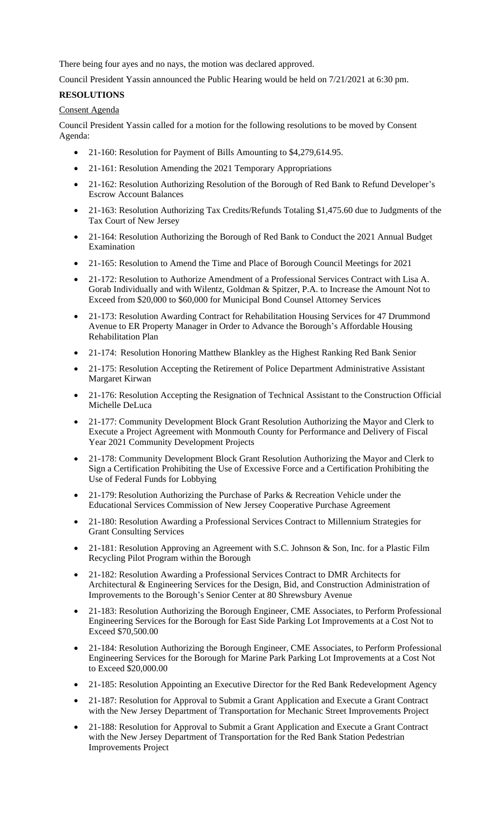There being four ayes and no nays, the motion was declared approved.

Council President Yassin announced the Public Hearing would be held on 7/21/2021 at 6:30 pm.

# **RESOLUTIONS**

## Consent Agenda

Council President Yassin called for a motion for the following resolutions to be moved by Consent Agenda:

- 21-160: Resolution for Payment of Bills Amounting to \$4,279,614.95.
- 21-161: Resolution Amending the 2021 Temporary Appropriations
- 21-162: Resolution Authorizing Resolution of the Borough of Red Bank to Refund Developer's Escrow Account Balances
- 21-163: Resolution Authorizing Tax Credits/Refunds Totaling \$1,475.60 due to Judgments of the Tax Court of New Jersey
- 21-164: Resolution Authorizing the Borough of Red Bank to Conduct the 2021 Annual Budget Examination
- 21-165: Resolution to Amend the Time and Place of Borough Council Meetings for 2021
- 21-172: Resolution to Authorize Amendment of a Professional Services Contract with Lisa A. Gorab Individually and with Wilentz, Goldman & Spitzer, P.A. to Increase the Amount Not to Exceed from \$20,000 to \$60,000 for Municipal Bond Counsel Attorney Services
- 21-173: Resolution Awarding Contract for Rehabilitation Housing Services for 47 Drummond Avenue to ER Property Manager in Order to Advance the Borough's Affordable Housing Rehabilitation Plan
- 21-174: Resolution Honoring Matthew Blankley as the Highest Ranking Red Bank Senior
- 21-175: Resolution Accepting the Retirement of Police Department Administrative Assistant Margaret Kirwan
- 21-176: Resolution Accepting the Resignation of Technical Assistant to the Construction Official Michelle DeLuca
- 21-177: Community Development Block Grant Resolution Authorizing the Mayor and Clerk to Execute a Project Agreement with Monmouth County for Performance and Delivery of Fiscal Year 2021 Community Development Projects
- 21-178: Community Development Block Grant Resolution Authorizing the Mayor and Clerk to Sign a Certification Prohibiting the Use of Excessive Force and a Certification Prohibiting the Use of Federal Funds for Lobbying
- 21-179:Resolution Authorizing the Purchase of Parks & Recreation Vehicle under the Educational Services Commission of New Jersey Cooperative Purchase Agreement
- 21-180: Resolution Awarding a Professional Services Contract to Millennium Strategies for Grant Consulting Services
- 21-181: Resolution Approving an Agreement with S.C. Johnson & Son, Inc. for a Plastic Film Recycling Pilot Program within the Borough
- 21-182: Resolution Awarding a Professional Services Contract to DMR Architects for Architectural & Engineering Services for the Design, Bid, and Construction Administration of Improvements to the Borough's Senior Center at 80 Shrewsbury Avenue
- 21-183: Resolution Authorizing the Borough Engineer, CME Associates, to Perform Professional Engineering Services for the Borough for East Side Parking Lot Improvements at a Cost Not to Exceed \$70,500.00
- 21-184: Resolution Authorizing the Borough Engineer, CME Associates, to Perform Professional Engineering Services for the Borough for Marine Park Parking Lot Improvements at a Cost Not to Exceed \$20,000.00
- 21-185: Resolution Appointing an Executive Director for the Red Bank Redevelopment Agency
- 21-187: Resolution for Approval to Submit a Grant Application and Execute a Grant Contract with the New Jersey Department of Transportation for Mechanic Street Improvements Project
- 21-188: Resolution for Approval to Submit a Grant Application and Execute a Grant Contract with the New Jersey Department of Transportation for the Red Bank Station Pedestrian Improvements Project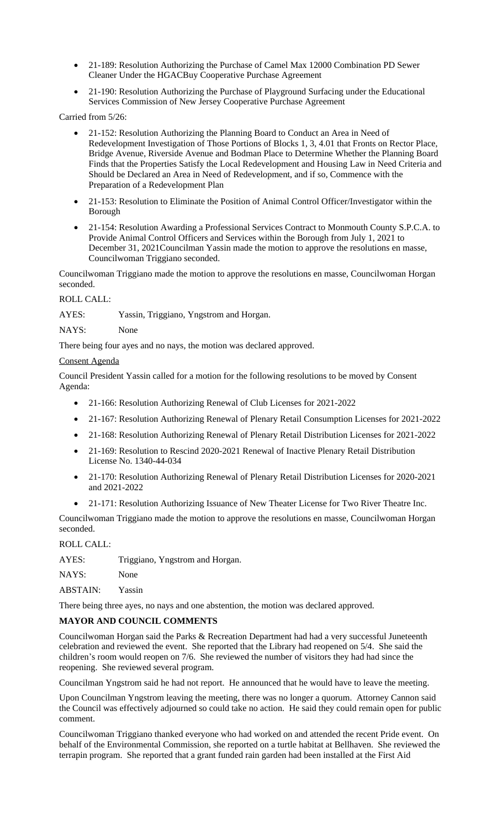- 21-189: Resolution Authorizing the Purchase of Camel Max 12000 Combination PD Sewer Cleaner Under the HGACBuy Cooperative Purchase Agreement
- 21-190: Resolution Authorizing the Purchase of Playground Surfacing under the Educational Services Commission of New Jersey Cooperative Purchase Agreement

Carried from 5/26:

- 21-152: Resolution Authorizing the Planning Board to Conduct an Area in Need of Redevelopment Investigation of Those Portions of Blocks 1, 3, 4.01 that Fronts on Rector Place, Bridge Avenue, Riverside Avenue and Bodman Place to Determine Whether the Planning Board Finds that the Properties Satisfy the Local Redevelopment and Housing Law in Need Criteria and Should be Declared an Area in Need of Redevelopment, and if so, Commence with the Preparation of a Redevelopment Plan
- 21-153: Resolution to Eliminate the Position of Animal Control Officer/Investigator within the Borough
- 21-154: Resolution Awarding a Professional Services Contract to Monmouth County S.P.C.A. to Provide Animal Control Officers and Services within the Borough from July 1, 2021 to December 31, 2021Councilman Yassin made the motion to approve the resolutions en masse, Councilwoman Triggiano seconded.

Councilwoman Triggiano made the motion to approve the resolutions en masse, Councilwoman Horgan seconded.

ROLL CALL:

AYES: Yassin, Triggiano, Yngstrom and Horgan.

NAYS: None

There being four ayes and no nays, the motion was declared approved.

## Consent Agenda

Council President Yassin called for a motion for the following resolutions to be moved by Consent Agenda:

- 21-166: Resolution Authorizing Renewal of Club Licenses for 2021-2022
- 21-167: Resolution Authorizing Renewal of Plenary Retail Consumption Licenses for 2021-2022
- 21-168: Resolution Authorizing Renewal of Plenary Retail Distribution Licenses for 2021-2022
- 21-169: Resolution to Rescind 2020-2021 Renewal of Inactive Plenary Retail Distribution License No. 1340-44-034
- 21-170: Resolution Authorizing Renewal of Plenary Retail Distribution Licenses for 2020-2021 and 2021-2022
- 21-171: Resolution Authorizing Issuance of New Theater License for Two River Theatre Inc.

Councilwoman Triggiano made the motion to approve the resolutions en masse, Councilwoman Horgan seconded.

ROLL CALL:

AYES: Triggiano, Yngstrom and Horgan.

NAYS: None

ABSTAIN: Yassin

There being three ayes, no nays and one abstention, the motion was declared approved.

# **MAYOR AND COUNCIL COMMENTS**

Councilwoman Horgan said the Parks & Recreation Department had had a very successful Juneteenth celebration and reviewed the event. She reported that the Library had reopened on 5/4. She said the children's room would reopen on 7/6. She reviewed the number of visitors they had had since the reopening. She reviewed several program.

Councilman Yngstrom said he had not report. He announced that he would have to leave the meeting.

Upon Councilman Yngstrom leaving the meeting, there was no longer a quorum. Attorney Cannon said the Council was effectively adjourned so could take no action. He said they could remain open for public comment.

Councilwoman Triggiano thanked everyone who had worked on and attended the recent Pride event. On behalf of the Environmental Commission, she reported on a turtle habitat at Bellhaven. She reviewed the terrapin program. She reported that a grant funded rain garden had been installed at the First Aid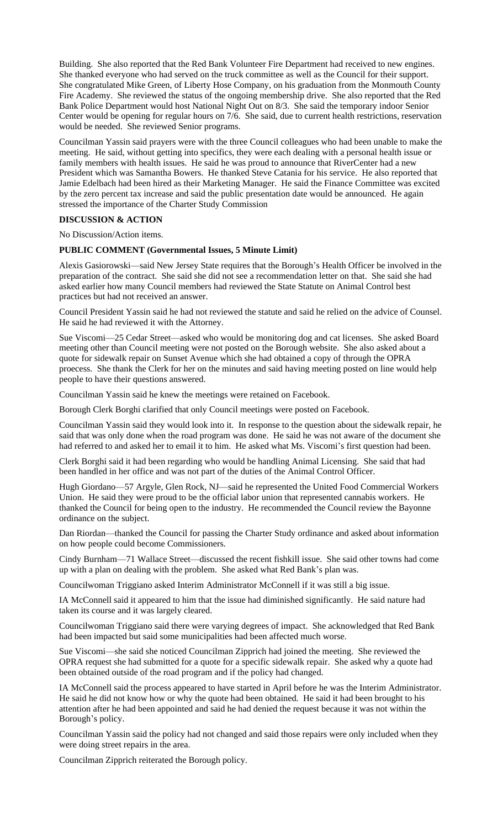Building. She also reported that the Red Bank Volunteer Fire Department had received to new engines. She thanked everyone who had served on the truck committee as well as the Council for their support. She congratulated Mike Green, of Liberty Hose Company, on his graduation from the Monmouth County Fire Academy. She reviewed the status of the ongoing membership drive. She also reported that the Red Bank Police Department would host National Night Out on 8/3. She said the temporary indoor Senior Center would be opening for regular hours on 7/6. She said, due to current health restrictions, reservation would be needed. She reviewed Senior programs.

Councilman Yassin said prayers were with the three Council colleagues who had been unable to make the meeting. He said, without getting into specifics, they were each dealing with a personal health issue or family members with health issues. He said he was proud to announce that RiverCenter had a new President which was Samantha Bowers. He thanked Steve Catania for his service. He also reported that Jamie Edelbach had been hired as their Marketing Manager. He said the Finance Committee was excited by the zero percent tax increase and said the public presentation date would be announced. He again stressed the importance of the Charter Study Commission

#### **DISCUSSION & ACTION**

No Discussion/Action items.

#### **PUBLIC COMMENT (Governmental Issues, 5 Minute Limit)**

Alexis Gasiorowski—said New Jersey State requires that the Borough's Health Officer be involved in the preparation of the contract. She said she did not see a recommendation letter on that. She said she had asked earlier how many Council members had reviewed the State Statute on Animal Control best practices but had not received an answer.

Council President Yassin said he had not reviewed the statute and said he relied on the advice of Counsel. He said he had reviewed it with the Attorney.

Sue Viscomi—25 Cedar Street—asked who would be monitoring dog and cat licenses. She asked Board meeting other than Council meeting were not posted on the Borough website. She also asked about a quote for sidewalk repair on Sunset Avenue which she had obtained a copy of through the OPRA proecess. She thank the Clerk for her on the minutes and said having meeting posted on line would help people to have their questions answered.

Councilman Yassin said he knew the meetings were retained on Facebook.

Borough Clerk Borghi clarified that only Council meetings were posted on Facebook.

Councilman Yassin said they would look into it. In response to the question about the sidewalk repair, he said that was only done when the road program was done. He said he was not aware of the document she had referred to and asked her to email it to him. He asked what Ms. Viscomi's first question had been.

Clerk Borghi said it had been regarding who would be handling Animal Licensing. She said that had been handled in her office and was not part of the duties of the Animal Control Officer.

Hugh Giordano—57 Argyle, Glen Rock, NJ—said he represented the United Food Commercial Workers Union. He said they were proud to be the official labor union that represented cannabis workers. He thanked the Council for being open to the industry. He recommended the Council review the Bayonne ordinance on the subject.

Dan Riordan—thanked the Council for passing the Charter Study ordinance and asked about information on how people could become Commissioners.

Cindy Burnham—71 Wallace Street—discussed the recent fishkill issue. She said other towns had come up with a plan on dealing with the problem. She asked what Red Bank's plan was.

Councilwoman Triggiano asked Interim Administrator McConnell if it was still a big issue.

IA McConnell said it appeared to him that the issue had diminished significantly. He said nature had taken its course and it was largely cleared.

Councilwoman Triggiano said there were varying degrees of impact. She acknowledged that Red Bank had been impacted but said some municipalities had been affected much worse.

Sue Viscomi—she said she noticed Councilman Zipprich had joined the meeting. She reviewed the OPRA request she had submitted for a quote for a specific sidewalk repair. She asked why a quote had been obtained outside of the road program and if the policy had changed.

IA McConnell said the process appeared to have started in April before he was the Interim Administrator. He said he did not know how or why the quote had been obtained. He said it had been brought to his attention after he had been appointed and said he had denied the request because it was not within the Borough's policy.

Councilman Yassin said the policy had not changed and said those repairs were only included when they were doing street repairs in the area.

Councilman Zipprich reiterated the Borough policy.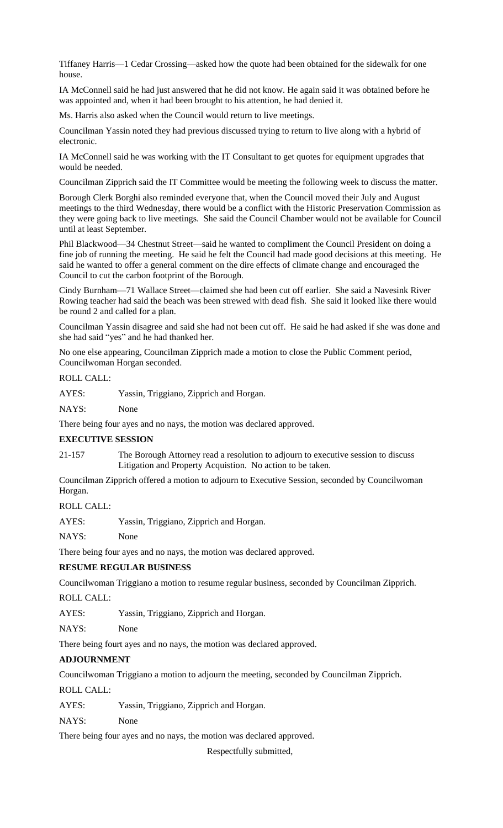Tiffaney Harris—1 Cedar Crossing—asked how the quote had been obtained for the sidewalk for one house.

IA McConnell said he had just answered that he did not know. He again said it was obtained before he was appointed and, when it had been brought to his attention, he had denied it.

Ms. Harris also asked when the Council would return to live meetings.

Councilman Yassin noted they had previous discussed trying to return to live along with a hybrid of electronic.

IA McConnell said he was working with the IT Consultant to get quotes for equipment upgrades that would be needed.

Councilman Zipprich said the IT Committee would be meeting the following week to discuss the matter.

Borough Clerk Borghi also reminded everyone that, when the Council moved their July and August meetings to the third Wednesday, there would be a conflict with the Historic Preservation Commission as they were going back to live meetings. She said the Council Chamber would not be available for Council until at least September.

Phil Blackwood—34 Chestnut Street—said he wanted to compliment the Council President on doing a fine job of running the meeting. He said he felt the Council had made good decisions at this meeting. He said he wanted to offer a general comment on the dire effects of climate change and encouraged the Council to cut the carbon footprint of the Borough.

Cindy Burnham—71 Wallace Street—claimed she had been cut off earlier. She said a Navesink River Rowing teacher had said the beach was been strewed with dead fish. She said it looked like there would be round 2 and called for a plan.

Councilman Yassin disagree and said she had not been cut off. He said he had asked if she was done and she had said "yes" and he had thanked her.

No one else appearing, Councilman Zipprich made a motion to close the Public Comment period, Councilwoman Horgan seconded.

## ROLL CALL:

AYES: Yassin, Triggiano, Zipprich and Horgan.

NAYS: None

There being four ayes and no nays, the motion was declared approved.

## **EXECUTIVE SESSION**

21-157 The Borough Attorney read a resolution to adjourn to executive session to discuss Litigation and Property Acquistion. No action to be taken.

Councilman Zipprich offered a motion to adjourn to Executive Session, seconded by Councilwoman Horgan.

ROLL CALL:

AYES: Yassin, Triggiano, Zipprich and Horgan.

NAYS: None

There being four ayes and no nays, the motion was declared approved.

## **RESUME REGULAR BUSINESS**

Councilwoman Triggiano a motion to resume regular business, seconded by Councilman Zipprich.

ROLL CALL:

AYES: Yassin, Triggiano, Zipprich and Horgan.

NAYS: None

There being fourt ayes and no nays, the motion was declared approved.

## **ADJOURNMENT**

Councilwoman Triggiano a motion to adjourn the meeting, seconded by Councilman Zipprich.

ROLL CALL:

AYES: Yassin, Triggiano, Zipprich and Horgan.

NAYS: None

There being four ayes and no nays, the motion was declared approved.

Respectfully submitted,